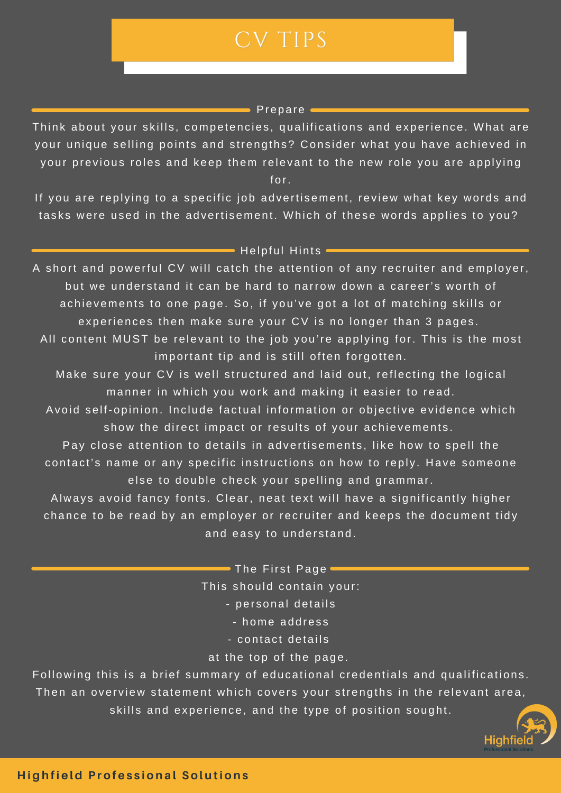## CV TIPS

## $\blacksquare$  Prepare

Think about your skills, competencies, qualifications and experience. What are your unique selling points and strengths? Consider what you have achieved in your previous roles and keep them relevant to the new role you are applying for.

If you are replying to a specific job advertisement, review what key words and tasks were used in the advertisement. Which of these words applies to you?

## $\blacksquare$  Helpful Hints  $\blacksquare$

A short and powerful CV will catch the attention of any recruiter and employer, but we understand it can be hard to narrow down a career's worth of achievements to one page. So, if you've got a lot of matching skills or experiences then make sure your CV is no longer than 3 pages. All content MUST be relevant to the job you're applying for. This is the most important tip and is still often forgotten.

Make sure your CV is well structured and laid out, reflecting the logical manner in which you work and making it easier to read.

Avoid self-opinion. Include factual information or objective evidence which show the direct impact or results of your achievements.

Pay close attention to details in advertisements, like how to spell the contact's name or any specific instructions on how to reply. Have someone else to double check your spelling and grammar.

Always avoid fancy fonts. Clear, neat text will have a significantly higher chance to be read by an employer or recruiter and keeps the document tidy and easy to understand.

> $\blacksquare$  The First Page  $\blacksquare$ This should contain your: - personal details

- home address
- contact details
- at the top of the page.

Following this is a brief summary of educational credentials and qualifications. Then an overview statement which covers your strengths in the relevant area, skills and experience, and the type of position sought.